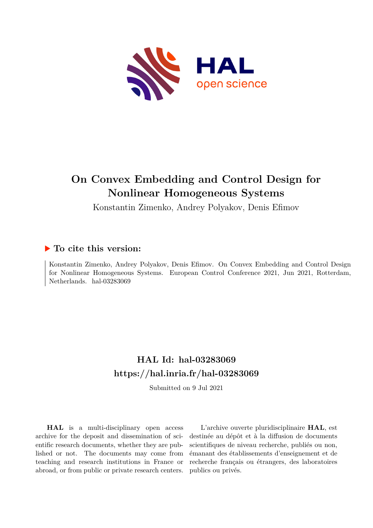

# **On Convex Embedding and Control Design for Nonlinear Homogeneous Systems**

Konstantin Zimenko, Andrey Polyakov, Denis Efimov

## **To cite this version:**

Konstantin Zimenko, Andrey Polyakov, Denis Efimov. On Convex Embedding and Control Design for Nonlinear Homogeneous Systems. European Control Conference 2021, Jun 2021, Rotterdam, Netherlands. hal- $03283069$ 

# **HAL Id: hal-03283069 <https://hal.inria.fr/hal-03283069>**

Submitted on 9 Jul 2021

**HAL** is a multi-disciplinary open access archive for the deposit and dissemination of scientific research documents, whether they are published or not. The documents may come from teaching and research institutions in France or abroad, or from public or private research centers.

L'archive ouverte pluridisciplinaire **HAL**, est destinée au dépôt et à la diffusion de documents scientifiques de niveau recherche, publiés ou non, émanant des établissements d'enseignement et de recherche français ou étrangers, des laboratoires publics ou privés.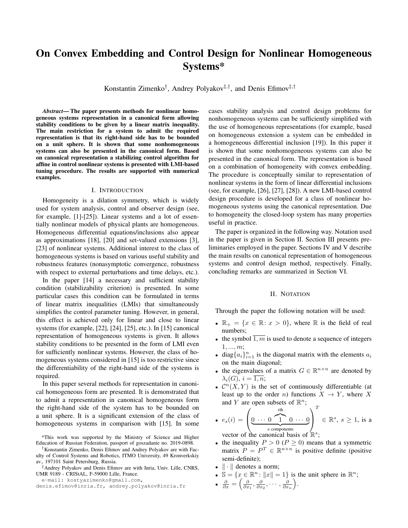# On Convex Embedding and Control Design for Nonlinear Homogeneous Systems\*

Konstantin Zimenko<sup>†</sup>, Andrey Polyakov<sup>‡,†</sup>, and Denis Efimov<sup>‡,†</sup>

Abstract—The paper presents methods for nonlinear homogeneous systems representation in a canonical form allowing stability conditions to be given by a linear matrix inequality. The main restriction for a system to admit the required representation is that its right-hand side has to be bounded on a unit sphere. It is shown that some nonhomogeneous systems can also be presented in the canonical form. Based on canonical representation a stabilizing control algorithm for affine in control nonlinear systems is presented with LMI-based tuning procedure. The results are supported with numerical examples.

#### I. INTRODUCTION

Homogeneity is a dilation symmetry, which is widely used for system analysis, control and observer design (see, for example, [1]-[25]). Linear systems and a lot of essentially nonlinear models of physical plants are homogeneous. Homogeneous differential equations/inclusions also appear as approximations  $[18]$ ,  $[20]$  and set-valued extensions  $[3]$ , [23] of nonlinear systems. Additional interest to the class of homogeneous systems is based on various useful stability and robustness features (nonasymptotic convergence, robustness with respect to external perturbations and time delays, etc.).

In the paper [14] a necessary and sufficient stability condition (stabilizability criterion) is presented. In some particular cases this condition can be formulated in terms of linear matrix inequalities (LMIs) that simultaneously simplifies the control parameter tuning. However, in general, this effect is achieved only for linear and close to linear systems (for example,  $[22]$ ,  $[24]$ ,  $[25]$ , etc.). In  $[15]$  canonical representation of homogeneous systems is given. It allows stability conditions to be presented in the form of LMI even for sufficiently nonlinear systems. However, the class of homogeneous systems considered in [15] is too restrictive since the differentiability of the right-hand side of the systems is required.

In this paper several methods for representation in canonical homogeneous form are presented. It is demonstrated that to admit a representation in canonical homogeneous form the right-hand side of the system has to be bounded on a unit sphere. It is a significant extension of the class of homogeneous systems in comparison with [15]. In some

e-mail: kostyazimenko@gmail.com,

cases stability analysis and control design problems for nonhomogeneous systems can be sufficiently simplified with the use of homogeneous representations (for example, based on homogeneous extension a system can be embedded in a homogeneous differential inclusion [19]). In this paper it is shown that some nonhomogeneous systems can also be presented in the canonical form. The representation is based on a combination of homogeneity with convex embedding. The procedure is conceptually similar to representation of nonlinear systems in the form of linear differential inclusions (see, for example, [26], [27], [28]). A new LMI-based control design procedure is developed for a class of nonlinear homogeneous systems using the canonical representation. Due to homogeneity the closed-loop system has many properties useful in practice.

The paper is organized in the following way. Notation used in the paper is given in Section II. Section III presents preliminaries employed in the paper. Sections IV and V describe the main results on canonical representation of homogeneous systems and control design method, respectively. Finally, concluding remarks are summarized in Section VI.

### II. NOTATION

Through the paper the following notation will be used:

- $\mathbb{R}_+ = \{x \in \mathbb{R} : x > 0\}$ , where  $\mathbb R$  is the field of real numbers;
- the symbol 1,  $m$  is used to denote a sequence of integers  $1, ..., m;$
- diag $\{a_i\}_{i=1}^n$  is the diagonal matrix with the elements  $a_i$ on the main diagonal;
- the eigenvalues of a matrix  $G \in \mathbb{R}^{n \times n}$  are denoted by  $\lambda_i(G), i=\overline{1,n};$
- $\mathcal{C}^n(X, Y)$  is the set of continuously differentiable (at least up to the order *n*) functions  $X \to Y$ , where X and Y are open subsets of  $\mathbb{R}^n$ ;

• 
$$
e_s(i) = \left(\underbrace{0 \cdots 0}_{s \text{ components}} \underbrace{1 \cdots 0}_{s \text{ components}}\right)^I \in \mathbb{R}^s, s \ge 1
$$
, is a vector of the canonical basis of  $\mathbb{R}^s$ :

- the inequality  $P > 0$  ( $P \ge 0$ ) means that a symmetric matrix  $P = P^T \in \mathbb{R}^{n \times n}$  is positive definite (positive semi-definite);
- $\bullet$   $\|\cdot\|$  denotes a norm;
- $\mathbb{S} = \{x \in \mathbb{R}^n : ||x|| = 1\}$  is the unit sphere in  $\mathbb{R}^n$ ;

$$
\bullet \ \ \frac{\partial}{\partial x} = \left(\frac{\partial}{\partial x_1}, \frac{\partial}{\partial x_2}, \cdots, \frac{\partial}{\partial x_n}\right).
$$

<sup>\*</sup>This work was supported by the Ministry of Science and Higher Education of Russian Federation, passport of goszadanie no. 2019-0898.

<sup>&</sup>lt;sup>†</sup> Konstantin Zimenko, Denis Efimov and Andrey Polyakov are with Faculty of Control Systems and Robotics, ITMO University, 49 Kronverkskiy av., 197101 Saint Petersburg, Russia.

<sup>&</sup>lt;sup>‡</sup>Andrey Polyakov and Denis Efimov are with Inria, Univ. Lille, CNRS, UMR 9189 - CRIStAL, F-59000 Lille, France.

denis.efimov@inria.fr, andrey.polyakov@inria.fr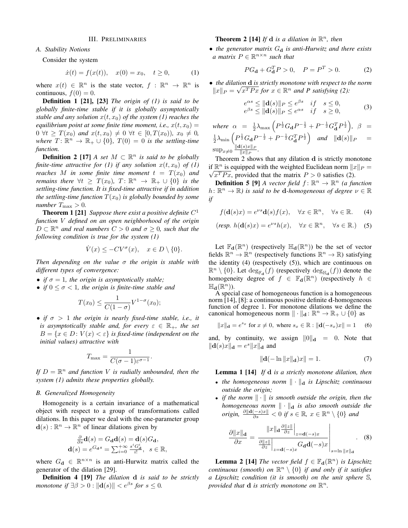#### **III. PRELIMINARIES**

## A. Stability Notions

Consider the system

$$
\dot{x}(t) = f(x(t)), \quad x(0) = x_0, \quad t \ge 0,
$$
 (1)

where  $x(t) \in \mathbb{R}^n$  is the state vector,  $f : \mathbb{R}^n \to \mathbb{R}^n$  is continuous,  $f(0) = 0$ .

**Definition 1 [21], [23]** The origin of  $(1)$  is said to be globally finite-time stable if it is globally asymptotically stable and any solution  $x(t, x_0)$  of the system (1) reaches the equilibrium point at some finite time moment, i.e.,  $x(t, x_0) =$  $0 \ \forall t \geq T(x_0)$  and  $x(t, x_0) \neq 0 \ \forall t \in [0, T(x_0)), \ x_0 \neq 0$ , where  $T: \mathbb{R}^n \to \mathbb{R}_+ \cup \{0\}$ ,  $T(0) = 0$  is the settling-time function.

**Definition 2** [17] A set  $M \subset \mathbb{R}^n$  is said to be globally finite-time attractive for (1) if any solution  $x(t, x_0)$  of (1) reaches M in some finite time moment  $t = T(x_0)$  and remains there  $\forall t \geq T(x_0), T: \mathbb{R}^n \to \mathbb{R}_+ \cup \{0\}$  is the settling-time function. It is fixed-time attractive if in addition the settling-time function  $T(x_0)$  is globally bounded by some number  $T_{\text{max}} > 0$ .

**Theorem 1 [21]** Suppose there exist a positive definite  $C^1$ function V defined on an open neighborhood of the origin  $D \subset \mathbb{R}^n$  and real numbers  $C > 0$  and  $\sigma \geq 0$ , such that the following condition is true for the system  $(1)$ 

$$
\dot{V}(x) \le -CV^{\sigma}(x), \quad x \in D \setminus \{0\}.
$$

Then depending on the value  $\sigma$  the origin is stable with different types of convergence:

- if  $\sigma = 1$ , the origin is asymptotically stable;
- if  $0 \le \sigma < 1$ , the origin is finite-time stable and

$$
T(x_0) \le \frac{1}{C(1-\sigma)} V^{1-\sigma}(x_0)
$$

• if  $\sigma > 1$  the origin is nearly fixed-time stable, i.e., it is asymptotically stable and, for every  $\varepsilon \in \mathbb{R}_+$ , the set  $B = \{x \in D : V(x) < \varepsilon\}$  is fixed-time (independent on the initial values) attractive with

$$
T_{\max} = \frac{1}{C(\sigma - 1)\varepsilon^{\sigma - 1}}.
$$

If  $D = \mathbb{R}^n$  and function V is radially unbounded, then the system  $(1)$  admits these properties globally.

#### **B.** Generalized Homogeneity

Homogeneity is a certain invariance of a mathematical object with respect to a group of transformations called dilations. In this paper we deal with the one-parameter group  $\mathbf{d}(s): \mathbb{R}^n \to \mathbb{R}^n$  of linear dilations given by

$$
\frac{\partial}{\partial s}\mathbf{d}(s) = G_{\mathbf{d}}\mathbf{d}(s) = \mathbf{d}(s)G_{\mathbf{d}},
$$
  

$$
\mathbf{d}(s) = e^{G_{\mathbf{d}}s} = \sum_{i=0}^{+\infty} \frac{s^i G_{\mathbf{d}}^i}{i!}, \quad s \in \mathbb{R}.
$$

where  $G_{d} \in \mathbb{R}^{n \times n}$  is an anti-Hurwitz matrix called the generator of the dilation [29].

**Definition 4 [19]** The dilation d is said to be strictly monotone if  $\exists \beta > 0 : ||\mathbf{d}(s)|| < e^{\beta s}$  for  $s \leq 0$ .

## **Theorem 2 [14]** If **d** is a dilation in  $\mathbb{R}^n$ , then

• the generator matrix  $G_d$  is anti-Hurwitz and there exists a matrix  $P \in \mathbb{R}^{n \times n}$  such that

$$
PG_{\mathbf{d}} + G_{\mathbf{d}}^T P > 0, \quad P = P^T > 0.
$$
 (2)

• the dilation d is strictly monotone with respect to the norm  $||x||_P = \sqrt{x^T P x}$  for  $x \in \mathbb{R}^n$  and P satisfying (2):

$$
\begin{aligned}\n\alpha s &\leq \|\mathbf{d}(s)\|_{P} \leq e^{\beta s} &\quad \text{if} \quad s \leq 0, \\
\beta s &\leq \|\mathbf{d}(s)\|_{P} \leq e^{\alpha s} &\quad \text{if} \quad s \geq 0,\n\end{aligned} \tag{3}
$$

where  $\alpha = \frac{1}{2}\lambda_{\text{max}}\left(P^{\frac{1}{2}}G_{\mathbf{d}}P^{-\frac{1}{2}} + P^{-\frac{1}{2}}G_{\mathbf{d}}^T P^{\frac{1}{2}}\right), \ \beta =$  $\tfrac{1}{2}\lambda_{\min}\left(P^{\frac{1}{2}}G_{\mathbf{d}}P^{-\frac{1}{2}}+P^{-\frac{1}{2}}G_{\mathbf{d}}^TP^{\frac{1}{2}}\right) \quad \textit{and} \quad \|\mathbf{d}(s)\|_P$  $\sup_{x\neq 0} \frac{\| \mathbf{d}(s)x \|_{P}}{\|x\|_{P}}.$ 

Theorem 2 shows that any dilation d is strictly monotone if  $\mathbb{R}^n$  is equipped with the weighted Euclidean norm  $||x||_P =$  $\sqrt{x^T P x}$ , provided that the matrix  $P > 0$  satisfies (2).

**Definition 5 [9]** A vector field  $f: \mathbb{R}^n \to \mathbb{R}^n$  (a function  $h: \mathbb{R}^n \to \mathbb{R}$ ) is said to be **d**-homogeneous of degree  $\nu \in \mathbb{R}$  $if$ 

$$
f(\mathbf{d}(s)x) = e^{\nu s} \mathbf{d}(s) f(x), \quad \forall x \in \mathbb{R}^n, \quad \forall s \in \mathbb{R}.
$$
 (4)

$$
(\text{resp. } h(\mathbf{d}(s)x) = e^{\nu s}h(x), \quad \forall x \in \mathbb{R}^n, \quad \forall s \in \mathbb{R}.) \tag{5}
$$

Let  $\mathbb{F}_{d}(\mathbb{R}^{n})$  (respectively  $\mathbb{H}_{d}(\mathbb{R}^{n})$ ) be the set of vector fields  $\mathbb{R}^n \to \mathbb{R}^n$  (respectively functions  $\mathbb{R}^n \to \mathbb{R}$ ) satisfying the identity  $(4)$  (respectively  $(5)$ ), which are continuous on  $\mathbb{R}^n \setminus \{0\}$ . Let  $\deg_{\mathbb{F}_{\mathbf{d}}}(f)$  (respectively  $\deg_{\mathbb{H}_{\mathbf{d}}}(f)$ ) denote the homogeneity degree of  $f \in \mathbb{F}_d(\mathbb{R}^n)$  (respectively  $h \in$  $\mathbb{H}_{\mathbf{d}}(\mathbb{R}^n)$ .

A special case of homogeneous function is a homogeneous norm [14], [8]: a continuous positive definite d-homogeneous function of degree 1. For monotone dilations we define the canonical homogeneous norm  $\|\cdot\|_{\mathbf{d}}: \mathbb{R}^n \to \mathbb{R}_+ \cup \{0\}$  as

$$
||x||_{\mathbf{d}} = e^{s_x}
$$
 for  $x \neq 0$ , where  $s_x \in \mathbb{R} : ||\mathbf{d}(-s_x)x|| = 1$  (6)

and, by continuity, we assign  $||0||_d = 0$ . Note that  $\|\mathbf{d}(s)x\|_{\mathbf{d}}=e^s\|x\|_{\mathbf{d}}$  and

$$
\|\mathbf{d}(-\ln \|x\|_{\mathbf{d}})x\| = 1. \tag{7}
$$

**Lemma 1** [14] If  $d$  is a strictly monotone dilation, then

- the homogeneous norm  $\|\cdot\|_{d}$  is Lipschitz continuous *outside the origin;*
- if the norm  $\|\cdot\|$  is smooth outside the origin, then the homogeneous norm  $\|\cdot\|_d$  is also smooth outside the origin,  $\frac{\partial ||d(-s)x||}{\partial s} < 0$  if  $s \in \mathbb{R}$ ,  $x \in \mathbb{R}^n \setminus \{0\}$  and

$$
\frac{\partial ||x||_{\mathbf{d}}}{\partial x} = \frac{||x||_{\mathbf{d}} \frac{\partial ||z||}{\partial z} \Big|_{z=\mathbf{d}(-s)x}}{\frac{\partial ||z||}{\partial z} \Big|_{z=\mathbf{d}(-s)x} G_{\mathbf{d}} \mathbf{d}(-s)x} \Bigg|_{s=\ln ||x||_{\mathbf{d}}}.
$$
(8)

**Lemma 2 [14]** The vector field  $f \in \mathbb{F}_{d}(\mathbb{R}^{n})$  is Lipschitz continuous (smooth) on  $\mathbb{R}^n \setminus \{0\}$  if and only if it satisfies a Lipschitz condition (it is smooth) on the unit sphere S, provided that **d** is strictly monotone on  $\mathbb{R}^n$ .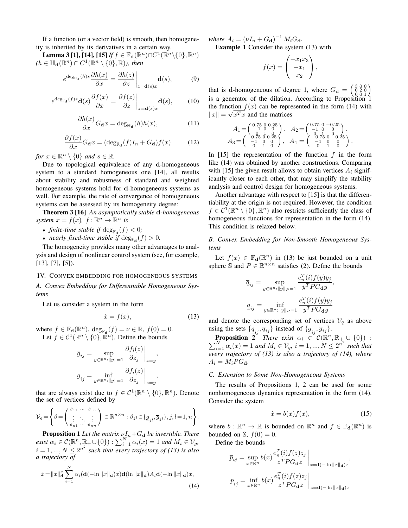If a function (or a vector field) is smooth, then homogeneity is inherited by its derivatives in a certain way.

**Lemma 3 [1], [14], [15]** If  $f \in \mathbb{F}_{d}(\mathbb{R}^{n}) \cap C^{1}(\mathbb{R}^{n} \setminus \{0\}, \mathbb{R}^{n})$  $(h \in \mathbb{H}_{d}(\mathbb{R}^{n}) \cap C^{1}(\mathbb{R}^{n} \setminus \{0\}, \mathbb{R})$ ), then

$$
e^{\deg_{\mathbb{H}_{\mathbf{d}}}(h)s} \frac{\partial h(x)}{\partial x} = \frac{\partial h(z)}{\partial z}\bigg|_{z = \mathbf{d}(s)x} \mathbf{d}(s),\tag{9}
$$

$$
e^{\deg_{\mathbb{F}_{\mathbf{d}}}(f)s}\mathbf{d}(s)\frac{\partial f(x)}{\partial x} = \frac{\partial f(z)}{\partial z}\bigg|_{z=\mathbf{d}(s)x}\mathbf{d}(s),\qquad(10)
$$

$$
\frac{\partial h(x)}{\partial x} G_{\mathbf{d}} x = \deg_{\mathbb{H}_{\mathbf{d}}}(h) h(x),\tag{11}
$$

$$
\frac{\partial f(x)}{\partial x} G_{\mathbf{d}} x = (\deg_{\mathbb{F}_{\mathbf{d}}}(f) I_n + G_{\mathbf{d}}) f(x) \tag{12}
$$

for  $x \in \mathbb{R}^n \setminus \{0\}$  and  $s \in \mathbb{R}$ .

Due to topological equivalence of any d-homogeneous system to a standard homogeneous one [14], all results about stability and robustness of standard and weighted homogeneous systems hold for d-homogeneous systems as well. For example, the rate of convergence of homogeneous systems can be assessed by its homogeneity degree:

**Theorem 3 [16]** An asymptotically stable d-homogeneous system  $\dot{x} = f(x), f: \mathbb{R}^n \to \mathbb{R}^n$  is

- finite-time stable if  $\deg_{\mathbb{F}_q}(f) < 0$ ;
- *nearly fixed-time stable if*  $deg_{\mathbb{F}_{d}}(f) > 0$ .

The homogeneity provides many other advantages to analysis and design of nonlinear control system (see, for example,  $[13], [7], [5]$ ).

#### IV. CONVEX EMBEDDING FOR HOMOGENEOUS SYSTEMS

A. Convex Embedding for Differentiable Homogeneous Systems

Let us consider a system in the form

$$
\dot{x} = f(x),\tag{13}
$$

where  $f \in \mathbb{F}_{d}(\mathbb{R}^{n}), \deg_{\mathbb{F}_{d}}(f) = \nu \in \mathbb{R}, f(0) = 0.$ Let  $f \in C^1(\mathbb{R}^n \setminus \{0\}, \mathbb{R}^n)$ . Define the bounds

$$
\overline{g}_{ij} = \sup_{y \in \mathbb{R}^n : \|y\| = 1} \frac{\partial f_i(z)}{\partial z_j} \Big|_{z=y},
$$

$$
\underline{g}_{ij} = \inf_{y \in \mathbb{R}^n : \|y\| = 1} \frac{\partial f_i(z)}{\partial z_j} \Big|_{z=y},
$$

that are always exist due to  $f \in C^1(\mathbb{R}^n \setminus \{0\}, \mathbb{R}^n)$ . Denote the set of vertices defined by

$$
\mathcal{V}_g = \left\{ \vartheta = \begin{pmatrix} \vartheta_{11} & \cdots & \vartheta_{1n} \\ \vdots & \ddots & \vdots \\ \vartheta_{n1} & \cdots & \vartheta_{nn} \end{pmatrix} \in \mathbb{R}^{n \times n} : \vartheta_{jl} \in \{ \underline{g}_{jl}, \overline{g}_{jl} \}, j, l = \overline{1, n} \right\}
$$

**Proposition 1** Let the matrix  $\nu I_n + G_d$  be invertible. There exist  $\alpha_i \in C(\mathbb{R}^n, \mathbb{R}_+ \cup \{0\}) : \sum_{i=1}^N \alpha_i(x) = 1$  and  $M_i \in V_g$ ,  $i = 1, ..., N \leq 2^{n^2}$  such that every trajectory of (13) is also a trajectory of

$$
\dot{x} = \|x\|_{\mathbf{d}}^{\nu} \sum_{i=1}^{N} \alpha_i (\mathbf{d}(-\ln \|x\|_{\mathbf{d}}) x) \mathbf{d}(\ln \|x\|_{\mathbf{d}}) A_i \mathbf{d}(-\ln \|x\|_{\mathbf{d}}) x,
$$
\n(14)

where  $A_i = (\nu I_n + G_{\bf d})^{-1} M_i G_{\bf d}$ .

**Example 1** Consider the system (13) with

$$
f(x) = \begin{pmatrix} -x_1x_3 \\ -x_1 \\ x_2 \end{pmatrix},
$$

that is d-homogeneous of degree 1, where  $G_d = \begin{pmatrix} 3 & 0 & 0 \\ 0 & 2 & 0 \\ 0 & 0 & 1 \end{pmatrix}$ is a generator of the dilation. According to Proposition 1 the function  $f(x)$  can be represented in the form (14) with  $||x|| = \sqrt{x^T x}$  and the matrices

$$
\begin{array}{c} A_1\!=\!\left(\begin{smallmatrix} 0.75 & 0 & 0.25 \\ -1 & 0 & 0 \\ 0 & 0 & 0 \end{smallmatrix}\right), & A_2\!=\!\left(\begin{smallmatrix} 0.75 & 0 & -0.25 \\ -1 & 0 & 0 \\ 0 & 0 & 0 \end{smallmatrix}\right), \\ A_3\!=\!\left(\begin{smallmatrix} -0.75 & 0 & 0.25 \\ -1 & 0 & 0 \\ 0 & 1 & 0 \end{smallmatrix}\right), & A_4\!=\!\left(\begin{smallmatrix} -0.75 & 0 & 0 & 0.25 \\ -0.75 & 0 & 0 & 0.25 \\ 0 & 1 & 0 & 0 \end{smallmatrix}\right). \end{array}
$$

In [15] the representation of the function  $f$  in the form like (14) was obtained by another constructions. Comparing with [15] the given result allows to obtain vertices  $A_i$  significantly closer to each other, that may simplify the stability analysis and control design for homogeneous systems.

Another advantage with respect to [15] is that the differentiability at the origin is not required. However, the condition  $f \in C^1(\mathbb{R}^n \setminus \{0\}, \mathbb{R}^n)$  also restricts sufficiently the class of homogeneous functions for representation in the form (14). This condition is relaxed below.

B. Convex Embedding for Non-Smooth Homogeneous Systems

Let  $f(x) \in \mathbb{F}_{d}(\mathbb{R}^{n})$  in (13) be just bounded on a unit sphere S and  $P \in \mathbb{R}^{n \times n}$  satisfies (2). Define the bounds

$$
\overline{q}_{ij} = \sup_{y \in \mathbb{R}^n : \|y\|_P = 1} \frac{e_n^T(i) f(y) y_j}{y^T P G_{\mathbf{d}} y},
$$

$$
\underline{q}_{ij} = \inf_{y \in \mathbb{R}^n : \|y\|_P = 1} \frac{e_n^T(i) f(y) y_j}{y^T P G_{\mathbf{d}} y}
$$

and denote the corresponding set of vertices  $V_q$  as above

using the sets  $\{q_{ij}, \overline{q}_{ij}\}$  instead of  $\{g_{ij}, \overline{g}_{ij}\}$ .<br> **Proposition 2** There exist  $\alpha_i \in C(\mathbb{R}^n, \mathbb{R}_+ \cup \{0\})$ :  $\sum_{i=1}^N \alpha_i(x) = 1$  and  $M_i \in V_q$ ,  $i = 1, ..., N \leq 2^{n^2}$  such that every trajectory of  $(13)$  is also a trajectory of  $(14)$ , where  $A_i = M_i PG_{\mathbf{d}}.$ 

### C. Extension to Some Non-Homogeneous Systems

The results of Propositions 1, 2 can be used for some nonhomogeneous dynamics representation in the form (14). Consider the system

$$
\dot{x} = b(x)f(x),\tag{15}
$$

where  $b : \mathbb{R}^n \to \mathbb{R}$  is bounded on  $\mathbb{R}^n$  and  $f \in \mathbb{F}_d(\mathbb{R}^n)$  is bounded on S,  $f(0) = 0$ .

Define the bounds

$$
\overline{p}_{ij} = \sup_{x \in \mathbb{R}^n} b(x) \frac{e_n^T(i) f(z)z_j}{z^T P G_{\mathbf{d}} z} \Big|_{z = \mathbf{d}(-\ln \|x\|_{\mathbf{d}})x},
$$
  

$$
\underline{p}_{ij} = \inf_{x \in \mathbb{R}^n} b(x) \frac{e_n^T(i) f(z)z_j}{z^T P G_{\mathbf{d}} z} \Big|_{z = \mathbf{d}(-\ln \|x\|_{\mathbf{d}})x}
$$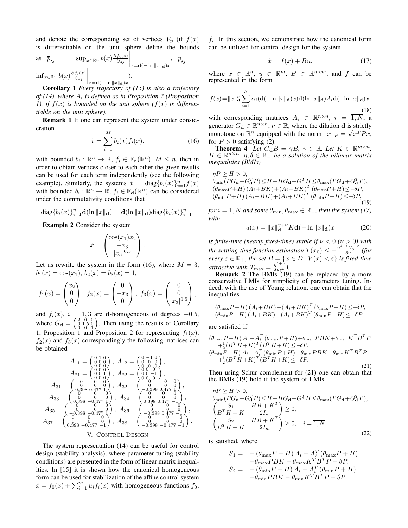and denote the corresponding set of vertices  $V_p$  (if  $f(x)$ ) is differentiable on the unit sphere define the bounds

as 
$$
\overline{p}_{ij}
$$
 =  $\sup_{x \in \mathbb{R}^n} b(x) \frac{\partial f_i(z)}{\partial z_j} \Big|_{z = \mathbf{d}(-\ln \|x\|_{\mathbf{d}})x}$ ,  $\underline{p}_{ij}$  =  
inf  $x \in \mathbb{R}^n$   $b(x) \frac{\partial f_i(z)}{\partial z_j} \Big|_{z = \mathbf{d}(-\ln \|x\|_{\mathbf{d}})x}$ .

**Corollary 1** Every trajectory of  $(15)$  is also a trajectory of (14), where  $A_i$  is defined as in Proposition 2 (Proposition 1), if  $f(x)$  is bounded on the unit sphere  $(f(x))$  is differentiable on the unit sphere).

**Remark 1** If one can represent the system under consideration

$$
\dot{x} = \sum_{i=1}^{M} b_i(x) f_i(x),
$$
\n(16)

with bounded  $b_i : \mathbb{R}^n \to \mathbb{R}$ ,  $f_i \in \mathbb{F}_{d}(\mathbb{R}^n)$ ,  $M \leq n$ , then in order to obtain vertices closer to each other the given results can be used for each term independently (see the following example). Similarly, the systems  $\dot{x} = \text{diag}\{b_i(x)\}_{i=1}^n f(x)$ with bounded  $b_i : \mathbb{R}^n \to \mathbb{R}$ ,  $f_i \in \mathbb{F}_d(\mathbb{R}^n)$  can be considered under the commutativity conditions that

diag{
$$
b_i(x)
$$
}<sup>n</sup><sub>i=1</sub>**d**(ln ||x||**d**) = **d**(ln ||x||**d**)diag{ $b_i(x)$ }<sup>n</sup><sub>i=1</sub>.

**Example 2** Consider the system

$$
\dot{x} = \begin{pmatrix} \cos(x_1)x_2 \\ -x_3 \\ |x_3|^{0.5} \end{pmatrix}
$$

Let us rewrite the system in the form (16), where  $M = 3$ ,  $b_1(x) = \cos(x_1), b_2(x) = b_3(x) = 1,$ 

$$
f_1(x) = \begin{pmatrix} x_2 \\ 0 \\ 0 \end{pmatrix}, f_2(x) = \begin{pmatrix} 0 \\ -x_3 \\ 0 \end{pmatrix}, f_3(x) = \begin{pmatrix} 0 \\ 0 \\ |x_3|^{0.5} \end{pmatrix},
$$

and  $f_i(x)$ ,  $i = \overline{1,3}$  are d-homogeneous of degrees -0.5, where  $G_{\mathbf{d}} = \begin{pmatrix} 2 & 0 & 0 \\ 0 & 1.5 & 0 \\ 0 & 0 & 1 \end{pmatrix}$ . Then using the results of Corollary 1, Proposition 1 and Proposition 2 for representing  $f_1(x)$ ,  $f_2(x)$  and  $f_3(x)$  correspondingly the following matrices can be obtained

$$
A_{11} = \begin{pmatrix} 0 & 1 & 0 \\ 0 & 0 & 0 \\ 0 & 0 & 0 \\ 0 & 0 & 0 \\ 0 & 0 & 1 \\ 0 & 0 & 0 \\ 0 & 0 & 0 \\ 0 & 0 & 0 \\ 0 & 0 & 0 \\ 0 & 0 & 0 \\ 0 & 0 & 0 \\ 0 & 0 & 0 \\ 0 & 0 & 0 \\ 0 & 0 & 0 \\ 0 & 0 & 0 \\ 0 & 0 & 0 \\ 0 & 0 & 0 \\ 0 & 0 & 0 \\ 0 & 0 & 0 \\ 0 & 0 & 0 \\ 0 & 0 & 0 \\ 0 & 0 & 0 \\ 0 & 0 & 0 \\ 0 & 0 & 0 \\ 0 & 0 & 0 \\ 0 & 0 & 0 \\ 0 & 0 & 0 \\ 0 & 0 & 0 \\ 0 & 0 & 0 \\ 0 & 0 & 0 \\ 0 & 0 & 0 \\ 0 & 0 & 0 \\ 0 & 0 & 0 \\ 0 & 0 & 0 \\ 0 & 0 & 0 \\ 0 & 0 & 0 \\ 0 & 0 & 0 \\ 0 & 0 & 0 \\ 0 & 0 & 0 \\ 0 & 0 & 0 \\ 0 & 0 & 0 \\ 0 & 0 & 0 \\ 0 & 0 & 0 \\ 0 & 0 & 0 \\ 0 & 0 & 0 \\ 0 & 0 & 0 \\ 0 & 0 & 0 \\ 0 & 0 & 0 \\ 0 & 0 & 0 \\ 0 & 0 & 0 \\ 0 & 0 & 0 \\ 0 & 0 & 0 \\ 0 & 0 & 0 \\ 0 & 0 & 0 \\ 0 & 0 & 0 \\ 0 & 0 & 0 \\ 0 & 0 & 0 \\ 0 & 0 & 0 \\ 0 & 0 & 0 \\ 0 & 0 & 0 \\ 0 & 0 & 0 \\ 0 & 0 & 0 \\ 0 & 0 & 0 \\ 0 & 0 & 0 \\ 0 & 0 & 0 \\ 0 & 0 & 0 \\ 0 & 0 & 0 \\ 0 & 0 & 0 \\ 0 & 0 & 0 \\ 0 & 0 & 0 \\ 0 & 0 & 0 \\ 0 & 0 & 0 \\ 0 & 0 & 0 \\ 0 & 0 & 0 \\ 0 & 0 & 0 \\ 0 & 0 & 0 \\ 0 & 0 & 0 \\ 0 & 0 & 0 \\ 0 & 0 & 0 \\ 0 & 0 & 0 \\ 0 & 0 & 0 \\ 0 & 0 & 0 \\ 0 & 0 & 0 \\
$$

#### V. CONTROL DESIGN

The system representation  $(14)$  can be useful for control design (stability analysis), where parameter tuning (stability conditions) are presented in the form of linear matrix inequalities. In [15] it is shown how the canonical homogeneous form can be used for stabilization of the affine control system  $\dot{x} = f_0(x) + \sum_{i=1}^m u_i f_i(x)$  with homogeneous functions  $f_0$ ,  $f_i$ . In this section, we demonstrate how the canonical form can be utilized for control design for the system

$$
\dot{x} = f(x) + Bu,\tag{17}
$$

where  $x \in \mathbb{R}^n$ ,  $u \in \mathbb{R}^m$ ,  $B \in \mathbb{R}^{n \times m}$ , and f can be represented in the form

$$
f(x) = ||x||_{\mathbf{d}}^{\nu} \sum_{i=1}^{N} \alpha_{i}(\mathbf{d}(-\ln ||x||_{\mathbf{d}})x) \mathbf{d}(\ln ||x||_{\mathbf{d}}) A_{i} \mathbf{d}(-\ln ||x||_{\mathbf{d}})x,
$$
\n(18)

with corresponding matrices  $A_i \in \mathbb{R}^{n \times n}$ ,  $i = 1, N$ , a generator  $G_{\bf d} \in \mathbb{R}^{n \times n}$ ,  $\nu \in \mathbb{R}$ , where the dilation  ${\bf d}$  is strictly monotone on  $\mathbb{R}^n$  equipped with the norm  $||x||_P = \sqrt{x^T P x}$ , for  $P > 0$  satisfying (2).

**Theorem 4** Let  $G_dB = \gamma B$ ,  $\gamma \in \mathbb{R}$ . Let  $K \in \mathbb{R}^{m \times n}$ ,  $H \in \mathbb{R}^{n \times n}$ ,  $\eta, \delta \in \mathbb{R}_+$  be a solution of the bilinear matrix *inequalities (BMIs)* 

$$
\eta P \geq H > 0,
$$
  
\n
$$
\theta_{\min} (PG_{\mathbf{d}} + G_{\mathbf{d}}^T P) \leq H + HG_{\mathbf{d}} + G_{\mathbf{d}}^T H \leq \theta_{\max} (PG_{\mathbf{d}} + G_{\mathbf{d}}^T P),
$$
  
\n
$$
(\theta_{\max} P + H) (A_i + BK) + (A_i + BK)^T (\theta_{\max} P + H) \leq -\delta P,
$$
  
\n
$$
(\theta_{\min} P + H) (A_i + BK) + (A_i + BK)^T (\theta_{\min} P + H) \leq -\delta P,
$$
  
\n(19)

for  $i = 1, N$  and some  $\theta_{\min}, \theta_{\max} \in \mathbb{R}_+$ , then the system (17) with

$$
u(x) = ||x||_{\mathbf{d}}^{\gamma+\nu} K \mathbf{d}(-\ln ||x||_{\mathbf{d}})x \tag{20}
$$

is finite-time (nearly fixed-time) stable if  $\nu < 0$  ( $\nu > 0$ ) with the settling-time function estimation  $T(x_0) \le -\frac{\eta^{1+\nu}V_0^{-\nu}}{\delta\nu}$  (for every  $\varepsilon \in \mathbb{R}_+$ , the set  $B = \{x \in D : V(x) < \varepsilon\}$  is fixed-time<br>attractive with  $T_{\text{max}} = \frac{\eta^{1+\nu}}{2^{\delta \nu \varepsilon^{\nu}}}.$ 

**Remark 2** The BMIs  $(19)$  can be replaced by a more conservative LMIs for simplicity of parameters tuning. Indeed, with the use of Young relation, one can obtain that the inequalities

$$
\frac{(\theta_{\max}P+H)(A_i+BK)+(A_i+BK)^T(\theta_{\max}P+H)\leq -\delta P}{(\theta_{\min}P+H)(A_i+BK)+(A_i+BK)^T(\theta_{\min}P+H)\leq -\delta P}
$$

are satisfied if

$$
(\theta_{\max} P + H) A_i + A_i^T (\theta_{\max} P + H) + \theta_{\max} P B K + \theta_{\max} K^T B^T P + \frac{1}{2} (B^T H + K)^T (B^T H + K) \leq -\delta P, (\theta_{\min} P + H) A_i + A_i^T (\theta_{\min} P + H) + \theta_{\min} P B K + \theta_{\min} K^T B^T P + \frac{1}{2} (B^T H + K)^T (B^T H + K) \leq -\delta P.
$$
\n(21)

Then using Schur complement for  $(21)$  one can obtain that the BMIs (19) hold if the system of LMIs

$$
\eta P \ge H > 0,
$$
  
\n
$$
\theta_{\min}(PG_{\mathbf{d}} + G_{\mathbf{d}}^T P) \le H + HG_{\mathbf{d}} + G_{\mathbf{d}}^T H \le \theta_{\max}(PG_{\mathbf{d}} + G_{\mathbf{d}}^T P),
$$
  
\n
$$
\begin{pmatrix} S_1 & HB + K^T \\ B^T H + K & 2I_m \end{pmatrix} \ge 0,
$$
  
\n
$$
\begin{pmatrix} S_2 & HB + K^T \\ B^T H + K & 2I_m \end{pmatrix} \ge 0, \quad i = \overline{1, N}
$$
\n(22)

is satisfied, where

$$
S_1 = -(\theta_{\max} P + H) A_i - A_i^T (\theta_{\max} P + H) - \theta_{\max} P B K - \theta_{\max} K^T B^T P - \delta P, S_2 = -(\theta_{\min} P + H) A_i - A_i^T (\theta_{\min} P + H) - \theta_{\min} P B K - \theta_{\min} K^T B^T P - \delta P.
$$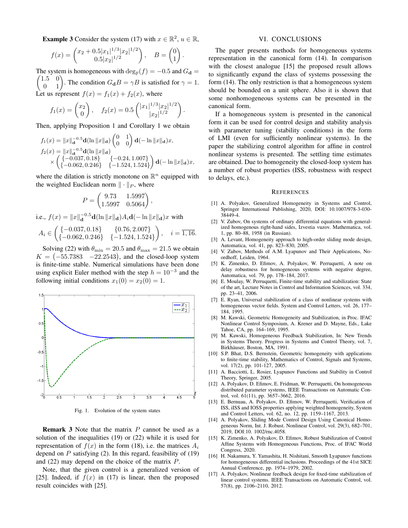**Example 3** Consider the system (17) with  $x \in \mathbb{R}^2$ ,  $u \in \mathbb{R}$ ,

$$
f(x) = \begin{pmatrix} x_2 + 0.5|x_1|^{1/3}|x_2|^{1/2} \\ 0.5|x_2|^{1/2} \end{pmatrix}, \quad B = \begin{pmatrix} 0 \\ 1 \end{pmatrix}.
$$

The system is homogeneous with  $\deg_{\mathbb{F}}(f) = -0.5$  and  $G_d =$ The condition  $G_{\mathbf{d}}B = \gamma B$  is satisfied for  $\gamma = 1$ .  $(1.5 \ 0)$ Let us represent  $f(x) = f_1(x) + f_2(x)$ , where

$$
f_1(x) = \begin{pmatrix} x_2 \\ 0 \end{pmatrix}, \quad f_2(x) = 0.5 \begin{pmatrix} |x_1|^{1/3} |x_2|^{1/2} \\ |x_2|^{1/2} \end{pmatrix}
$$

Then, applying Proposition 1 and Corollary 1 we obtain

$$
f_1(x) = \|x\|_{\mathbf{d}}^{-0.5} \mathbf{d}(\ln \|x\|_{\mathbf{d}}) \begin{pmatrix} 0 & 1 \\ 0 & 0 \end{pmatrix} \mathbf{d}(-\ln \|x\|_{\mathbf{d}}) x,
$$
  
\n
$$
f_2(x) = \|x\|_{\mathbf{d}}^{-0.5} \mathbf{d}(\ln \|x\|_{\mathbf{d}})
$$
  
\n
$$
\times \begin{pmatrix} \{-0.037, 0.18\} & \{-0.24, 1.007\} \\ \{-0.062, 0.246\} & \{-1.524, 1.524\} \end{pmatrix} \mathbf{d}(-\ln \|x\|_{\mathbf{d}}) x,
$$

where the dilation is strictly monotone on  $\mathbb{R}^n$  equipped with the weighted Euclidean norm  $\|\cdot\|_P$ , where

$$
P = \begin{pmatrix} 9.73 & 1.5997 \\ 1.5997 & 0.5064 \end{pmatrix},
$$

i.e.,  $f(x) = ||x||_d^{-0.5} d(\ln ||x||_d) A_i d(-\ln ||x||_d) x$  with  $A_i \in \begin{pmatrix} \{-0.037, 0.18\} & \{0.76, 2.007\} \\ \{-0.062, 0.246\} & \{-1.524, 1.524\} \end{pmatrix}, \quad i = \overline{1, 16}.$ 

Solving (22) with  $\theta_{\min} = 20.5$  and  $\theta_{\max} = 21.5$  we obtain  $K = (-55.7383 -22.2543)$ , and the closed-loop system is finite-time stable. Numerical simulations have been done using explicit Euler method with the step  $h = 10^{-3}$  and the following initial conditions  $x_1(0) = x_2(0) = 1$ .



Fig. 1. Evolution of the system states

**Remark 3** Note that the matrix P cannot be used as a solution of the inequalities  $(19)$  or  $(22)$  while it is used for representation of  $f(x)$  in the form (18), i.e. the matrices  $A_i$ depend on  $P$  satisfying (2). In this regard, feasibility of (19) and  $(22)$  may depend on the choice of the matrix  $P$ .

Note, that the given control is a generalized version of [25]. Indeed, if  $f(x)$  in (17) is linear, then the proposed result coincides with [25].

#### VI. CONCLUSIONS

The paper presents methods for homogeneous systems representation in the canonical form (14). In comparison with the closest analogue [15] the proposed result allows to significantly expand the class of systems possessing the form (14). The only restriction is that a homogeneous system should be bounded on a unit sphere. Also it is shown that some nonhomogeneous systems can be presented in the canonical form.

If a homogeneous system is presented in the canonical form it can be used for control design and stability analysis with parameter tuning (stability conditions) in the form of LMI (even for sufficiently nonlinear systems). In the paper the stabilizing control algorithm for affine in control nonlinear systems is presented. The settling time estimates are obtained. Due to homogeneity the closed-loop system has a number of robust properties (ISS, robustness with respect to delays, etc.).

#### **REFERENCES**

- [1] A. Polyakov, Generalized Homogeneity in Systems and Control, Springer International Publishing, 2020, DOI: 10.1007/978-3-030-38449-4
- [2] V. Zubov, On systems of ordinary differential equations with generalized homogenous right-hand sides, Izvestia vuzov. Mathematica, vol. 1, pp. 80-88, 1958 (in Russian).
- A. Levant, Homogeneity approach to high-order sliding mode design,  $\lceil 3 \rceil$ Automatica, vol. 41, pp. 823-830, 2005.
- $[4]$ V. Zubov, Methods of A.M. Lyapunov and Their Applications, Noordhoff, Leiden, 1964.
- [5] K. Zimenko, D. Efimov, A. Polyakov, W. Perruquetti, A note on delay robustness for homogeneous systems with negative degree, Automatica, vol. 79, pp. 178-184, 2017.
- $[6]$ E. Moulay, W. Perruquetti, Finite-time stability and stabilization: State of the art, Lecture Notes in Control and Information Sciences, vol. 334, pp. 23-41, 2006.
- [7] E. Ryan, Universal stabilization of a class of nonlinear systems with homogeneous vector fields. System and Control Letters, vol. 26, 177– 184, 1995.
- [8] M. Kawski, Geometric Homogeneity and Stabilization, in Proc. IFAC Nonlinear Control Symposium, A. Krener and D. Mayne, Eds., Lake Tahoe, CA, pp. 164-169, 1995.
- M. Kawski, Homogeneous Feedback Stabilization, In: New Trends in Systems Theory. Progress in Systems and Control Theory, vol. 7, Birkhäuser, Boston, MA, 1991.
- [10] S.P. Bhat, D.S. Bernstein, Geometric homogeneity with applications to finite-time stability, Mathematics of Control, Signals and Systems, vol. 17(2), pp. 101-127, 2005.
- [11] A. Bacciotti, L. Rosier, Lyapunov Functions and Stability in Control Theory, Springer, 2005.
- [12] A. Polyakov, D. Efimov, E. Fridman, W. Perruquetti, On homogeneous distributed parameter systems, IEEE Transactions on Automatic Control, vol. 61(11), pp. 3657-3662, 2016.
- E. Bernuau, A. Polyakov, D. Efimov, W. Perruquetti, Verification of  $[13]$ ISS, iISS and IOSS properties applying weighted homogeneity, System and Control Letters, vol. 62, no. 12, pp. 1159-1167, 2013.
- [14] A. Polyakov, Sliding Mode Control Design Using Canonical Homogeneous Norm, Int. J. Robust. Nonlinear Control, vol. 29(3), 682-701, 2019. DOI:10. 1002/rnc.4058.
- [15] K. Zimenko, A. Polyakov, D. Efimov, Robust Stabilization of Control Affine Systems with Homogeneous Functions, Proc. of IFAC World Congress, 2020.
- [16] H. Nakamura, Y. Yamashita, H. Nishitani, Smooth Lyapunov functions for homogeneous differential inclusions. Proceedings of the 41st SICE Annual Conference, pp. 1974-1979, 2002.
- [17] A. Polyakov, Nonlinear feedback design for fixed-time stabilization of linear control systems. IEEE Transactions on Automatic Control, vol. 57(8), pp. 2106-2110, 2012.